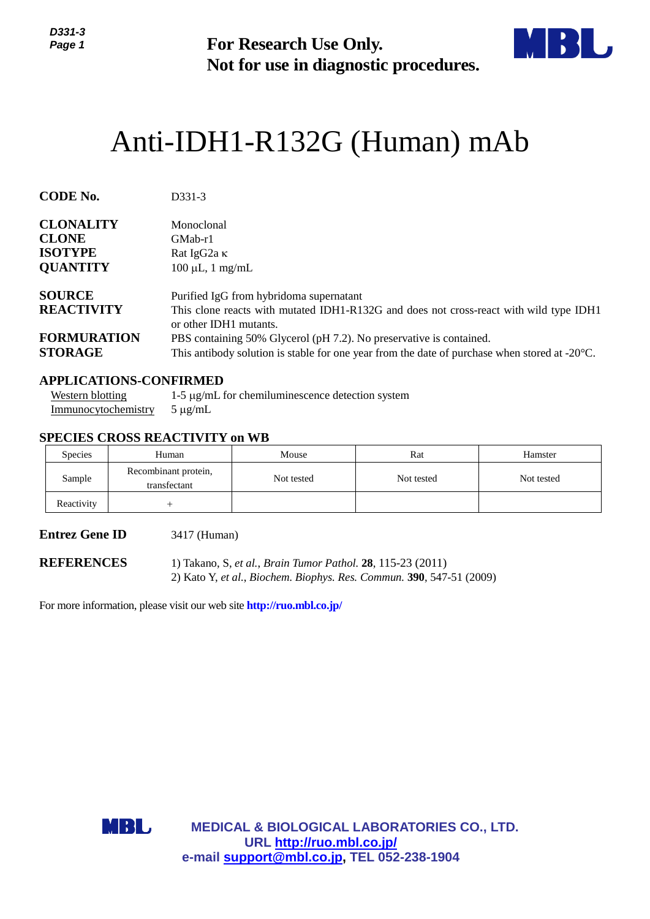

# Anti-IDH1-R132G (Human) mAb

| ט-ו טטע<br>Page 1                                                     |                                                                                        | <b>For Research Use Only.</b><br>Not for use in diagnostic procedures.                                                                                                                                                             |            |            |  |  |  |
|-----------------------------------------------------------------------|----------------------------------------------------------------------------------------|------------------------------------------------------------------------------------------------------------------------------------------------------------------------------------------------------------------------------------|------------|------------|--|--|--|
|                                                                       | Anti-IDH1-R132G (Human) mAb                                                            |                                                                                                                                                                                                                                    |            |            |  |  |  |
| <b>CODE No.</b>                                                       | D331-3                                                                                 |                                                                                                                                                                                                                                    |            |            |  |  |  |
| <b>CLONALITY</b><br><b>CLONE</b><br><b>ISOTYPE</b><br><b>QUANTITY</b> | Monoclonal<br>GMab-r1<br>Rat IgG2a K<br>$100 \mu L$ , 1 mg/mL                          |                                                                                                                                                                                                                                    |            |            |  |  |  |
| <b>SOURCE</b><br><b>REACTIVITY</b><br><b>FORMURATION</b>              |                                                                                        | Purified IgG from hybridoma supernatant<br>This clone reacts with mutated IDH1-R132G and does not cross-react with wild type IDH1<br>or other IDH1 mutants.<br>PBS containing 50% Glycerol (pH 7.2). No preservative is contained. |            |            |  |  |  |
| <b>STORAGE</b>                                                        |                                                                                        | This antibody solution is stable for one year from the date of purchase when stored at $-20^{\circ}$ C.                                                                                                                            |            |            |  |  |  |
| <b>Western blotting</b><br>Immunocytochemistry                        | <b>APPLICATIONS-CONFIRMED</b><br>$5 \mu g/mL$<br><b>SPECIES CROSS REACTIVITY on WB</b> | $1-5 \mu g/mL$ for chemiluminescence detection system                                                                                                                                                                              |            |            |  |  |  |
| <b>Species</b>                                                        | Human                                                                                  | Mouse                                                                                                                                                                                                                              | Rat        | Hamster    |  |  |  |
| Sample                                                                | Recombinant protein,<br>transfectant                                                   | Not tested                                                                                                                                                                                                                         | Not tested | Not tested |  |  |  |
| Reactivity                                                            | $^{+}$                                                                                 |                                                                                                                                                                                                                                    |            |            |  |  |  |
| <b>Entrez Gene ID</b>                                                 | 3417 (Human)                                                                           |                                                                                                                                                                                                                                    |            |            |  |  |  |
| <b>REFERENCES</b>                                                     |                                                                                        | 1) Takano, S, et al., Brain Tumor Pathol. 28, 115-23 (2011)<br>2) Kato Y, et al., Biochem. Biophys. Res. Commun. 390, 547-51 (2009)                                                                                                |            |            |  |  |  |
|                                                                       | For more information, please visit our web site <b>http://ruo.mbl.co.jp/</b>           |                                                                                                                                                                                                                                    |            |            |  |  |  |
|                                                                       |                                                                                        |                                                                                                                                                                                                                                    |            |            |  |  |  |
|                                                                       |                                                                                        |                                                                                                                                                                                                                                    |            |            |  |  |  |
|                                                                       |                                                                                        |                                                                                                                                                                                                                                    |            |            |  |  |  |
|                                                                       |                                                                                        |                                                                                                                                                                                                                                    |            |            |  |  |  |
|                                                                       | MBL                                                                                    | <b>MEDICAL &amp; BIOLOGICAL LABORATORIES CO., LTD.</b>                                                                                                                                                                             |            |            |  |  |  |
|                                                                       |                                                                                        | URL http://ruo.mbl.co.jp/<br>e-mail support@mbl.co.jp, TEL 052-238-1904                                                                                                                                                            |            |            |  |  |  |

#### **APPLICATIONS-CONFIRMED**

#### **SPECIES CROSS REACTIVITY on WB**

| <b>Species</b> | Human                                | Mouse      | Rat        | Hamster    |
|----------------|--------------------------------------|------------|------------|------------|
| Sample         | Recombinant protein,<br>transfectant | Not tested | Not tested | Not tested |
| Reactivity     |                                      |            |            |            |

### **Entrez Gene ID** 3417 (Human)

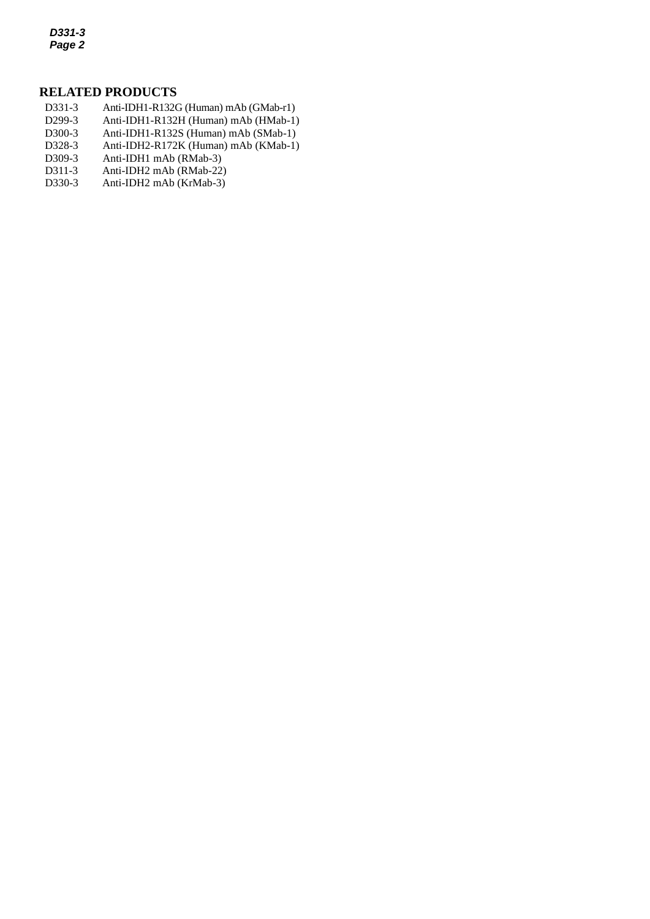*D331-3 Page 2*

#### **RELATED PRODUCTS**

- D331-3 Anti-IDH1-R132G (Human) mAb (GMab-r1)
- *2* D299-3 Anti-IDH1-R132H (Human) mAb (HMab-1)
- D300-3 Anti-IDH1-R132S (Human) mAb (SMab-1)<br>D328-3 Anti-IDH2-R172K (Human) mAb (KMab-1)
- [Anti-IDH2-R172K \(Human\) mAb](http://ruo.mbl.co.jp/dtl/A/D328-3/) (KMab-1)
- D309-3 Anti-IDH1 mAb (RMab-3)
- D311-3 Anti-IDH2 mAb (RMab-22)
- D330-3 Anti-IDH2 mAb (KrMab-3)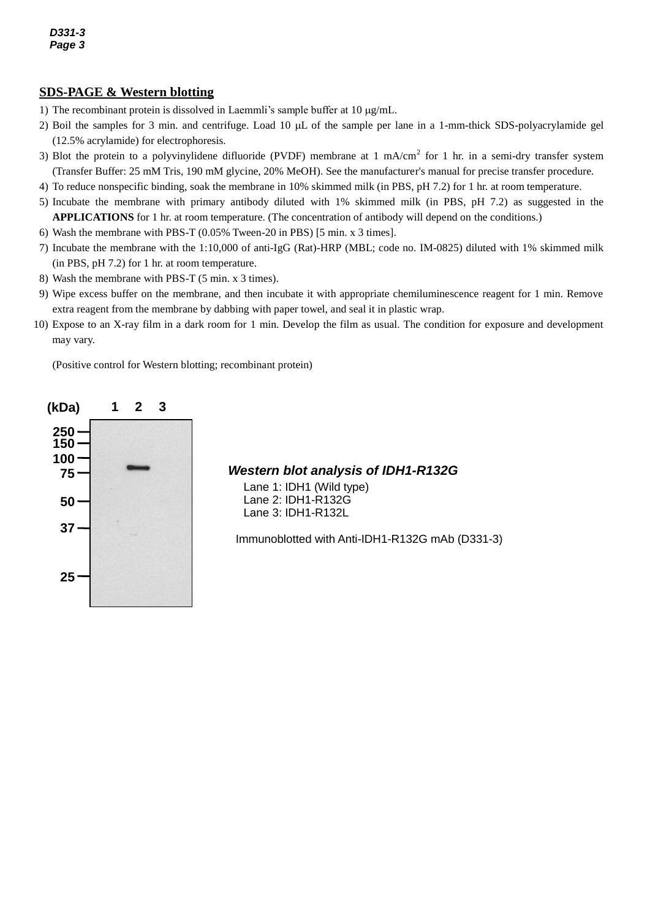## **SDS-PAGE & Western blotting**

- 1) The recombinant protein is dissolved in Laemmli's sample buffer at  $10 \mu g/mL$ .
- 2) Boil the samples for 3 min. and centrifuge. Load 10  $\mu$ L of the sample per lane in a 1-mm-thick SDS-polyacrylamide gel (12.5% acrylamide) for electrophoresis.
- 3) Blot the protein to a polyvinylidene difluoride (PVDF) membrane at 1 mA/cm<sup>2</sup> for 1 hr. in a semi-dry transfer system (Transfer Buffer: 25 mM Tris, 190 mM glycine, 20% MeOH). See the manufacturer's manual for precise transfer procedure.
- 4) To reduce nonspecific binding, soak the membrane in 10% skimmed milk (in PBS, pH 7.2) for 1 hr. at room temperature.
- 5) Incubate the membrane with primary antibody diluted with 1% skimmed milk (in PBS, pH 7.2) as suggested in the **APPLICATIONS** for 1 hr. at room temperature. (The concentration of antibody will depend on the conditions.)
- 6) Wash the membrane with PBS-T (0.05% Tween-20 in PBS) [5 min. x 3 times].
- 7) Incubate the membrane with the 1:10,000 of anti-IgG (Rat)-HRP (MBL; code no. IM-0825) diluted with 1% skimmed milk (in PBS, pH 7.2) for 1 hr. at room temperature.
- 8) Wash the membrane with PBS-T (5 min. x 3 times).
- 9) Wipe excess buffer on the membrane, and then incubate it with appropriate chemiluminescence reagent for 1 min. Remove extra reagent from the membrane by dabbing with paper towel, and seal it in plastic wrap.
- 10) Expose to an X-ray film in a dark room for 1 min. Develop the film as usual. The condition for exposure and development may vary.

(Positive control for Western blotting; recombinant protein)



*Western blot analysis of IDH1-R132G*

Lane 1: IDH1 (Wild type) Lane 2: IDH1-R132G Lane 3: IDH1-R132L

Immunoblotted with Anti-IDH1-R132G mAb (D331-3)